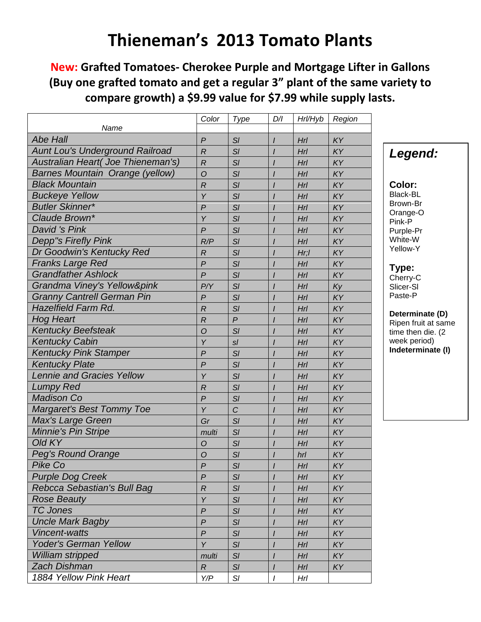## **New: Grafted Tomatoes- Cherokee Purple and Mortgage Lifter in Gallons (Buy one grafted tomato and get a regular 3" plant of the same variety to compare growth) a \$9.99 value for \$7.99 while supply lasts.**

|                                                                              | Color            | Type           | D/I      | Hrl/Hyb | Region    |                      |
|------------------------------------------------------------------------------|------------------|----------------|----------|---------|-----------|----------------------|
| Name<br><b>Abe Hall</b>                                                      |                  |                |          |         |           |                      |
|                                                                              | $\overline{P}$   | SI             | $\prime$ | Hrl     | KY<br>KY  |                      |
| <b>Aunt Lou's Underground Railroad</b><br>Australian Heart( Joe Thieneman's) | $\mathcal{R}$    | SI             |          | Hrl     |           | Legend:              |
| <b>Barnes Mountain Orange (yellow)</b>                                       | $\overline{R}$   | SI             |          | Hrl     | KY        |                      |
| <b>Black Mountain</b>                                                        | $\overline{O}$   | SI             |          | Hrl     | KY        | Color:               |
|                                                                              | $\overline{R}$   | SI             |          | Hrl     | KY        | <b>Black-BL</b>      |
| <b>Buckeye Yellow</b>                                                        | Y                | SI             |          | Hrl     | KY        | Brown-Br             |
| <b>Butler Skinner*</b>                                                       | $\boldsymbol{P}$ | SI             |          | Hrl     | KY        | Orange-O             |
| Claude Brown*                                                                | Y                | SI             |          | Hrl     | KY        | Pink-P               |
| David 's Pink                                                                | $\overline{P}$   | SI             |          | Hrl     | KY        | Purple-Pr<br>White-W |
| <b>Depp"s Firefly Pink</b>                                                   | R/P              | SI             |          | Hrl     | KY        | Yellow-Y             |
| Dr Goodwin's Kentucky Red                                                    | $\overline{R}$   | SI             |          | Hr;I    | KY        |                      |
| <b>Franks Large Red</b>                                                      | $\overline{P}$   | SI             |          | Hrl     | KY        | Type:                |
| <b>Grandfather Ashlock</b>                                                   | $\overline{P}$   | SI             |          | Hrl     | KY        | Cherry-C             |
| Grandma Viney's Yellow&pink                                                  | P/Y              | SI             |          | Hrl     | Ky        | Slicer-SI            |
| <b>Granny Cantrell German Pin</b>                                            | $\mathsf{P}$     | SI             |          | Hrl     | KY        | Paste-P              |
| <b>Hazelfield Farm Rd.</b>                                                   | $\overline{R}$   | SI             |          | Hrl     | KY        | Determinate (D)      |
| <b>Hog Heart</b>                                                             | $\overline{R}$   | $\overline{P}$ |          | Hrl     | KY        | Ripen fruit at same  |
| <b>Kentucky Beefsteak</b>                                                    | $\overline{O}$   | SI             |          | Hrl     | KY        | time then die. (2    |
| <b>Kentucky Cabin</b>                                                        | Y                | $s$ /          |          | Hrl     | KY        | week period)         |
| <b>Kentucky Pink Stamper</b>                                                 | $\overline{P}$   | SI             |          | Hrl     | KY        | Indeterminate (I)    |
| <b>Kentucky Plate</b>                                                        | $\overline{P}$   | SI             |          | Hrl     | KY        |                      |
| <b>Lennie and Gracies Yellow</b>                                             | Y                | SI             |          | Hrl     | KY        |                      |
| <b>Lumpy Red</b>                                                             | $\overline{R}$   | SI             |          | Hrl     | KY        |                      |
| <b>Madison Co</b>                                                            | $\overline{P}$   | SI             |          | Hrl     | KY        |                      |
| <b>Margaret's Best Tommy Toe</b>                                             | Y                | $\overline{C}$ |          | Hrl     | KY        |                      |
| Max's Large Green                                                            | Gr               | SI             |          | Hrl     | KY        |                      |
| <b>Minnie's Pin Stripe</b>                                                   | multi            | SI             |          | Hrl     | KY        |                      |
| Old KY                                                                       | $\circ$          | SI             |          | Hrl     | KY        |                      |
| <b>Peg's Round Orange</b>                                                    | $\mathcal{O}$    | SI             |          | hrl     | KY        |                      |
| Pike Co                                                                      | $\overline{P}$   | SI             |          | HrI     | KY        |                      |
| <b>Purple Dog Creek</b>                                                      | $\mathsf{P}$     | SI             |          | Hrl     | KY        |                      |
| Rebcca Sebastian's Bull Bag                                                  | $\overline{R}$   | SI             |          | Hrl     | KY        |                      |
| <b>Rose Beauty</b>                                                           | Y                | SI             |          | Hrl     | KY        |                      |
| <b>TC Jones</b>                                                              | $\overline{P}$   | SI             |          | HrI     | KY        |                      |
| <b>Uncle Mark Bagby</b>                                                      | $\overline{P}$   | SI             |          | Hrl     | KY        |                      |
| Vincent-watts                                                                | $\mathsf{P}$     | SI             |          | Hrl     | <b>KY</b> |                      |
| <b>Yoder's German Yellow</b>                                                 | Y                | SI             |          | Hrl     | KY        |                      |
| William stripped                                                             | multi            | SI             |          | Hrl     | KY        |                      |
| <b>Zach Dishman</b>                                                          |                  | SI             |          | HrI     |           |                      |
| 1884 Yellow Pink Heart                                                       | $\boldsymbol{R}$ |                |          |         | KY        |                      |
|                                                                              | Y/P              | SI             |          | Hrl     |           |                      |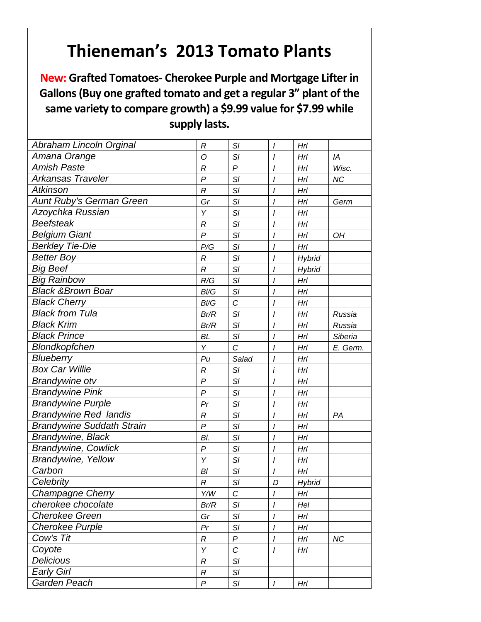**New: Grafted Tomatoes- Cherokee Purple and Mortgage Lifter in Gallons (Buy one grafted tomato and get a regular 3" plant of the same variety to compare growth) a \$9.99 value for \$7.99 while supply lasts.**

| Abraham Lincoln Orginal          | R                | SI                | $\prime$       | HrI           |           |
|----------------------------------|------------------|-------------------|----------------|---------------|-----------|
| Amana Orange                     | O                | SI                | $\prime$       | Hrl           | IA        |
| <b>Amish Paste</b>               | $\mathcal{R}$    | $\overline{P}$    | I              | Hrl           | Wisc.     |
| Arkansas Traveler                | P                | SI                | $\prime$       | Hrl           | <b>NC</b> |
| <b>Atkinson</b>                  | $\boldsymbol{R}$ | SI                | $\prime$       | Hrl           |           |
| Aunt Ruby's German Green         | Gr               | SI                | $\overline{I}$ | Hrl           | Germ      |
| Azoychka Russian                 | Υ                | SI                | $\prime$       | HrI           |           |
| <b>Beefsteak</b>                 | R                | SI                | I              | HrI           |           |
| <b>Belgium Giant</b>             | $\overline{P}$   | SI                | $\prime$       | HrI           | OH        |
| <b>Berkley Tie-Die</b>           | P/G              | SI                | $\prime$       | Hrl           |           |
| <b>Better Boy</b>                | $\mathcal{R}$    | SI                | $\overline{I}$ | <b>Hybrid</b> |           |
| <b>Big Beef</b>                  | $\boldsymbol{R}$ | SI                | I              | Hybrid        |           |
| <b>Big Rainbow</b>               | R/G              | SI                | $\prime$       | Hrl           |           |
| <b>Black &amp; Brown Boar</b>    | B/G              | SI                | $\overline{I}$ | HrI           |           |
| <b>Black Cherry</b>              | B/G              | C                 | $\prime$       | Hrl           |           |
| <b>Black from Tula</b>           | Br/R             | SI                | I              | Hrl           | Russia    |
| <b>Black Krim</b>                | Br/R             | SI                | $\prime$       | Hrl           | Russia    |
| <b>Black Prince</b>              | <b>BL</b>        | SI                | $\prime$       | Hrl           | Siberia   |
| Blondkopfchen                    | Υ                | $\overline{C}$    | $\prime$       | Hrl           | E. Germ.  |
| Blueberry                        | Pu               | Salad             | $\prime$       | Hrl           |           |
| <b>Box Car Willie</b>            | R                | SI                | $\dot{I}$      | HrI           |           |
| <b>Brandywine otv</b>            | $\boldsymbol{P}$ | SI                | $\prime$       | Hrl           |           |
| <b>Brandywine Pink</b>           | $\boldsymbol{P}$ | SI                | $\prime$       | Hrl           |           |
| <b>Brandywine Purple</b>         | Pr               | SI                | I              | Hrl           |           |
| <b>Brandywine Red landis</b>     | R                | SI                | I              | Hrl           | PA        |
| <b>Brandywine Suddath Strain</b> | P                | SI                | $\prime$       | Hrl           |           |
| <b>Brandywine, Black</b>         | BI.              | SI                | $\overline{I}$ | HrI           |           |
| <b>Brandywine, Cowlick</b>       | P                | SI                | I              | Hrl           |           |
| <b>Brandywine, Yellow</b>        | Υ                | SI                | I              | HrI           |           |
| Carbon                           | Bl               | SI                | I              | Hrl           |           |
| Celebrity                        | $\mathcal{R}$    | SI                | D              | <b>Hybrid</b> |           |
| <b>Champagne Cherry</b>          | Y/W              | C                 | I              | Hrl           |           |
| cherokee chocolate               | Br/R             | SI                | I              | Hel           |           |
| <b>Cherokee Green</b>            | Gr               | SI                | I              | Hrl           |           |
| <b>Cherokee Purple</b>           | Pr               | $\mathsf{S}I$     | $\prime$       | Hrl           |           |
| Cow's Tit                        | R                | $\boldsymbol{P}$  | $\prime$       | Hrl           | <b>NC</b> |
| Coyote                           | Υ                | $\overline{C}$    | $\prime$       | Hrl           |           |
| <b>Delicious</b>                 | R                | SI                |                |               |           |
| <b>Early Girl</b>                | $\boldsymbol{R}$ | $\mathsf{S}I$     |                |               |           |
| Garden Peach                     | P                | $\mathsf{S}/\!\!$ | $\prime$       | Hrl           |           |
|                                  |                  |                   |                |               |           |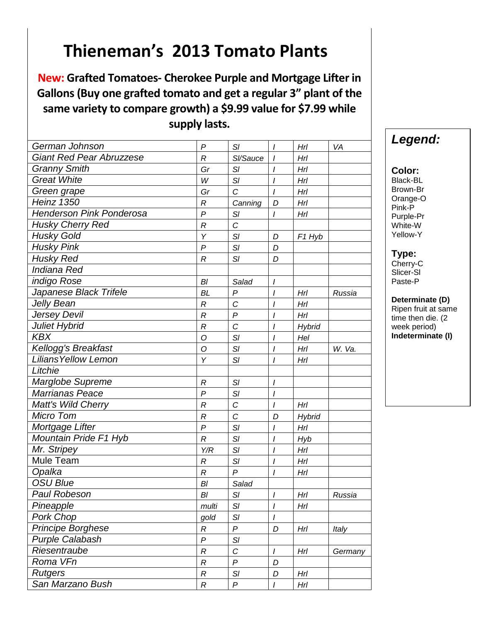**New: Grafted Tomatoes- Cherokee Purple and Mortgage Lifter in Gallons (Buy one grafted tomato and get a regular 3" plant of the same variety to compare growth) a \$9.99 value for \$7.99 while supply lasts.**

| German Johnson                  | $\boldsymbol{P}$ | SI               | $\prime$         | Hrl                | VA      |
|---------------------------------|------------------|------------------|------------------|--------------------|---------|
| <b>Giant Red Pear Abruzzese</b> | $\mathcal{R}$    | SI/Sauce         | $\prime$         | HrI                |         |
| <b>Granny Smith</b>             | Gr               | SI               | I                | Hrl                |         |
| <b>Great White</b>              | W                | SI               | I                | Hrl                |         |
| Green grape                     | Gr               | C                | I                | Hrl                |         |
| <b>Heinz 1350</b>               | R                | Canning          | D                | Hrl                |         |
| <b>Henderson Pink Ponderosa</b> | $\overline{P}$   | SI               | I                | Hrl                |         |
| <b>Husky Cherry Red</b>         | $\overline{R}$   | C                |                  |                    |         |
| <b>Husky Gold</b>               | Y                | SI               | D                | F <sub>1</sub> Hyb |         |
| <b>Husky Pink</b>               | $\boldsymbol{P}$ | SI               | D                |                    |         |
| <b>Husky Red</b>                | $\boldsymbol{R}$ | SI               | D                |                    |         |
| Indiana Red                     |                  |                  |                  |                    |         |
| indigo Rose                     | B <sub>l</sub>   | Salad            | $\prime$         |                    |         |
| Japanese Black Trifele          | BL               | P                | I                | Hrl                | Russia  |
| Jelly Bean                      | $\mathcal{R}$    | C                | $\prime$         | HrI                |         |
| Jersey Devil                    | $\overline{R}$   | $\boldsymbol{P}$ | $\overline{I}$   | HrI                |         |
| Juliet Hybrid                   | $\mathcal{R}$    | $\mathcal{C}$    | I                | <b>Hybrid</b>      |         |
| <b>KBX</b>                      | O                | SI               | I                | Hel                |         |
| Kellogg's Breakfast             | O                | SI               | I                | Hrl                | W. Va.  |
| <b>Lilians Yellow Lemon</b>     | Y                | SI               | I                | HrI                |         |
| Litchie                         |                  |                  |                  |                    |         |
| Marglobe Supreme                | R                | SI               | I                |                    |         |
| Marrianas Peace                 | $\mathsf{P}$     | SI               | I                |                    |         |
| <b>Matt's Wild Cherry</b>       | $\mathcal{R}$    | $\mathcal{C}$    | $\overline{I}$   | Hrl                |         |
| Micro Tom                       | $\mathcal{R}$    | $\mathcal{C}$    | D                | <b>Hybrid</b>      |         |
| Mortgage Lifter                 | $\mathsf{P}$     | SI               | I                | HrI                |         |
| Mountain Pride F1 Hyb           | R                | SI               | I                | <b>Hyb</b>         |         |
| Mr. Stripey                     | Y/R              | SI               | I                | HrI                |         |
| <b>Mule Team</b>                | R                | SI               | $\overline{I}$   | HrI                |         |
| Opalka                          | $\boldsymbol{R}$ | $\mathsf{P}$     | I                | Hrl                |         |
| <b>OSU Blue</b>                 | BI               | Salad            |                  |                    |         |
| <b>Paul Robeson</b>             | Bl               | SI               | I                | Hrl                | Russia  |
| Pineapple                       | multi            | SI               | $\overline{I}$   | Hrl                |         |
| Pork Chop                       | gold             | SI               | I                |                    |         |
| Principe Borghese               | R                | P                | D                | Hrl                | Italy   |
| <b>Purple Calabash</b>          | $\boldsymbol{P}$ | SI               |                  |                    |         |
| Riesentraube                    | $\boldsymbol{R}$ | C                | $\boldsymbol{l}$ | Hrl                | Germany |
| Roma VFn                        | R                | P                | D                |                    |         |
| <b>Rutgers</b>                  | $\mathcal{R}$    | SI               | D                | Hrl                |         |
| San Marzano Bush                | R                | P                | I                | Hrl                |         |

## *Legend:*

| ۰.<br>۰.<br>w<br>۰.<br>۰, |
|---------------------------|
|---------------------------|

Black-BL Brown-Br Orange-O Pink-P Purple-Pr White-W Yellow-Y

### **Type:**

Cherry-C Slicer-Sl Paste-P

#### **Determinate (D)**

Ripen fruit at same time then die. (2 week period) **Indeterminate (I)**